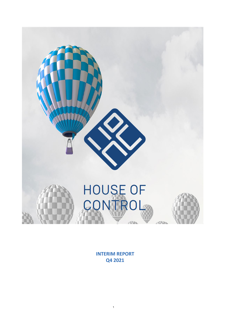

**INTERIM REPORT Q4 2021**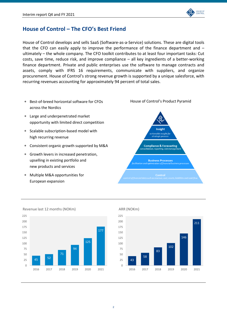

# **House of Control – The CFO's Best Friend**

House of Control develops and sells SaaS (Software-as-a-Service) solutions. These are digital tools that the CFO can easily apply to improve the performance of the finance department and  $$ ultimately – the whole company. The CFO toolkit contributes to at least four important tasks: Cut costs, save time, reduce risk, and improve compliance – all key ingredients of a better-working finance department. Private and public enterprises use the software to manage contracts and assets, comply with IFRS 16 requirements, communicate with suppliers, and organize procurement. House of Control's strong revenue growth is supported by a unique salesforce, with recurring revenues accounting for approximately 94 percent of total sales.

- Best-of-breed horizontal software for CFOs across the Nordics
- ∗ Large and underpenetrated market opportunity with limited direct competition
- ∗ Scalable subscription-based model with high recurring revenue
- ∗ Consistent organic growth supported by M&A
- ∗ Growth levers in increased penetration, upselling in existing portfolio and new products and services
- ∗ Multiple M&A opportunities for European expansion





Revenue last 12 months (NOKm)



### ARR (NOKm)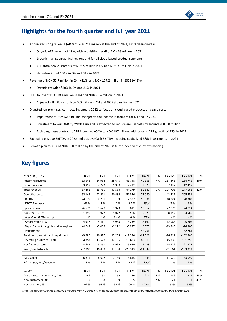

# **Highlights for the fourth quarter and full year 2021**

- Annual recurring revenue (ARR) of NOK 211 million at the end of 2021, +45% year-on-year
	- Organic ARR growth of 19%, with acquisitions adding NOK 38 million in 2021
	- Growth in all geographical regions and for all cloud-based product segments
	- ARR from new customers of NOK 9 million in Q4 and NOK 31 million in 2021
	- Net retention of 100% in Q4 and 98% in 2021
- Revenue of NOK 52.7 million in Q4 (+41%) and NOK 177.2 million in 2021 (+42%)
	- Organic growth of 20% in Q4 and 21% in 2021
- EBITDA loss of NOK 18.4 million in Q4 and NOK 28.4 million in 2021
	- Adjusted EBITDA loss of NOK 5.0 million in Q4 and NOK 3.6 million in 2021
- Divested 'on-premises' contracts in January 2022 to focus on cloud-based products and save costs
	- Impairment of NOK 52.8 million charged to the Income Statement for Q4 and FY 2021
	- Divestment lowers ARR by ~NOK 14m and is expected to reduce annual costs by around NOK 30 million
	- Excluding these contracts, ARR increased +54% to NOK 197 million, with organic ARR growth of 25% in 2021
- Expecting positive EBITDA in 2022 and positive Cash EBITDA including capitalized R&D investments in 2023
- Growth plan to ARR of NOK 500 million by the end of 2025 is fully funded with current financing

# **Key figures**

| <b>NOK ('000), IFRS</b>                | Q4 20    | Q1 21    | Q2 21    | Q3 21          | Q4 21    | %    | FY 2020                  | FY 2021   | %    |
|----------------------------------------|----------|----------|----------|----------------|----------|------|--------------------------|-----------|------|
| Recurring revenue                      | 33 648   | 34 988   | 38 645   | 41748          | 49 3 65  | 47 % | 117 448                  | 164 745   | 40 % |
| Other revenue                          | 3818     | 4722     | 1939     | 2 4 3 2        | 3 3 2 5  |      | 7 3 4 7                  | 12 4 17   |      |
| Total revenue                          | 37466    | 39 710   | 40 5 83  | 44 179         | 52 689   | 41%  | 124 795                  | 177 162   | 42 % |
| Operating costs                        | $-62143$ | $-42411$ | -40 484  | $-51576$       | $-71080$ |      | $-143719$                | $-205551$ |      |
| <b>EBITDA</b>                          | $-24677$ | $-2701$  | 99       | $-7397$        | $-18391$ |      | $-18924$                 | $-28389$  |      |
| EBITDA-margin                          | $-66%$   | $-7%$    | 0%       | $-17%$         | $-35%$   |      | $-15%$                   | $-16%$    |      |
| Special items                          | $-26573$ | $-3678$  | $-3973$  | $-3811$        | $-13362$ |      | $-27073$                 | $-24824$  |      |
| <b>Adjusted EBITDA</b>                 | 1896     | 977      | 4072     | $-3586$        | $-5029$  |      | 8 1 4 9                  | $-3566$   |      |
| Adjusted EBITDA-margin                 | 5 %      | 2%       | 10%      | $-8%$          | $-10%$   |      | 7 %                      | $-2%$     |      |
| <b>Amortization PPA</b>                | $-4937$  | $-5411$  | $-5963$  | $-6239$        | $-8192$  |      | $-12966$                 | $-25806$  |      |
| Depr. / amort. tangible and intangible | $-4743$  | $-5466$  | $-6272$  | $-5987$        | $-6575$  |      | $-13845$                 | $-24300$  |      |
| Impairment                             |          |          |          | $\blacksquare$ | $-52761$ |      | $\overline{\phantom{a}}$ | $-52761$  |      |
| Total depr., amort., and impairment    | $-9680$  | $-10877$ | $-12235$ | $-12226$       | $-67528$ |      | $-26811$                 | $-102866$ |      |
| Operating profit/loss, EBIT            | $-34357$ | $-13578$ | $-12135$ | $-19623$       | $-85919$ |      | $-45735$                 | $-131255$ |      |
| Net financial items                    | $-3633$  | $-5861$  | -4 999   | $-5689$        | $-5428$  |      | $-15926$                 | $-21977$  |      |
| Profit/loss before tax                 | $-37990$ | $-19439$ | $-17134$ | $-25313$       | $-91347$ |      | $-61661$                 | $-153233$ |      |
|                                        |          |          |          |                |          |      |                          |           |      |
| R&D Capex                              | 6875     | 8622     | 7 1 8 9  | 6845           | 10 4 43  |      | 17 970                   | 33 099    |      |
| R&D Capex, % of revenue                | 18%      | 22 %     | 18 %     | 15 %           | 20 %     |      | 14 %                     | 19 %      |      |
|                                        |          |          |          |                |          |      |                          |           |      |
| <b>NOKm</b>                            | Q4 20    | Q1 21    | Q2 21    | Q3 21          | Q4 21    | %    | FY 2021                  | FY 2021   | %    |
| Annual recurring revenue, ARR          | 146      | 151      | 169      | 186            | 211      | 45 % | 146                      | 211       | 45 % |
| New customers, ARR                     | 9        | 8        | 9        | 5              | 9        | 2%   | 21                       | 31        | 47 % |
| Net retention, %                       | 99 %     | 98%      | 99%      | 100 %          | 100 %    |      | 98%                      | 98%       |      |

*Notes: The company changed accounting standard from NGAAP to IFRS in connection with the presentation of the interim results for the third quarter 2021.*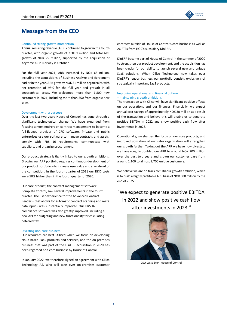

# **Message from the CEO**

### Continued strong growth momentum

Annual recurring revenue (ARR) continued to grow in the fourth quarter, with organic growth of NOK 9 million and total ARR growth of NOK 25 million, supported by the acquisition of Keyforce AS in Norway in October.

For the full year 2021, ARR increased by NOK 65 million, including the acquisitions of Business Analyze and Egreement earlier in the year. ARR grew by NOK 31 million organically, with net retention of 98% for the full year and growth in all geographical areas. We welcomed more than 1,800 new customers in 2021, including more than 350 from organic new sales.

#### Development with a purpose

Over the last two years House of Control has gone through a significant technological change. We have expanded from focusing almost entirely on contract management to become a full-fledged provider of CFO software. Private and public enterprises use our software to manage contracts and assets, comply with IFRS 16 requirements, communicate with suppliers, and organize procurement.

Our product strategy is tightly linked to our growth ambitions. Growing our ARR portfolio requires continuous development of our product portfolio – to increase user value and stay ahead of the competition. In the fourth quarter of 2021 our R&D costs were 50% higher than in the fourth quarter of 2020.

Our core product, the contract management software Complete Control, saw several improvements in the fourth quarter. The user experience for the Advanced Contract Reader – that allows for automatic contract scanning and meta data input – was substantially improved. Our IFRS 16 compliance software was also greatly improved, including a new API for budgeting and new functionality for calculating deferred tax.

#### Divesting non-core business

Our resources are best utilized when we focus on developing cloud-based SaaS products and services, and the on-premises business that was part of the DinERP acquisition in 2020 has been regarded non-core business by House of Control.

In January 2022, we therefore signed an agreement with Cillco Technology AS, who will take over on-premises customer

contracts outside of House of Control's core business as well as 26 FTEs from HOC's subsidiary DinERP.

DinERP became part of House of Control in the summer of 2020 to strengthen our product development, and the acquisition has been crucial for our ability to launch several new and unique SaaS solutions. When Cillco Technology now takes over DinERP's legacy business our portfolio consists exclusively of strategically important SaaS products.

### Improving operational and financial outlook – maintaining growth ambitions

The transaction with Cillco will have significant positive effects on our operations and our finances. Financially, we expect annual cost savings of approximately NOK 30 million as a result of the transaction and believe this will enable us to generate positive EBITDA in 2022 and show positive cash flow after investments in 2023.

Operationally, we sharpen the focus on our core products, and improved utilization of our sales organization will strengthen our growth further. Taking out the ARR we have now divested, we have roughly doubled our ARR to around NOK 200 million over the past two years and grown our customer base from around 1,100 to almost 2,700 unique customers.

We believe we are on track to fulfil our growth ambition, which isto build a highly profitable ARR base of NOK 500 million by the end of 2025.

# "We expect to generate positive EBITDA in 2022 and show positive cash flow after investments in 2023.*"*



CEO Lasse Sten, House of Control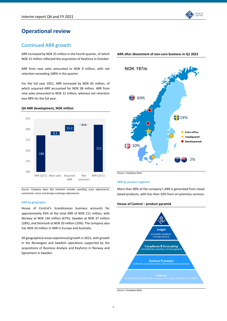

# Continued ARR growth

ARR increased by NOK 25 million in the fourth quarter, of which NOK 15 million reflected the acquisition of Keyforce in October.

ARR from new sales amounted to NOK 9 million, with net retention exceeding 100% in the quarter.

For the full year 2021, ARR increased by NOK 65 million, of which acquired ARR accounted for NOK 38 million. ARR from new sales amounted to NOK 31 million, whereas net retention was 98% for the full year.

### **Q4 ARR development, NOK million**



*Source: Company data. Net retention includes upselling, price adjustments, contraction, churn and foreign exchange adjustments*

### ARR by geography

House of Control's Scandinavian business accounts for approximately 95% of the total ARR of NOK 211 million, with Norway at NOK 144 million (67%), Sweden at NOK 37 million (18%), and Denmark at NOK 20 million (10%). The company also has NOK 10 million in ARR in Europa and Australia.

All geographical areas experienced growth in 2021, with growth in the Norwegian and Swedish operations supported by the acquisitions of Business Analyze and Keyforce in Norway and Egreement in Sweden.





**ARR after divestment of non-core business in Q1 2022**

*Source: Company data.* 

### ARR by product segment

More than 90% of the company's ARR is generated from cloudbased products, with less than 10% from on-premises services.

### **House of Control – product pyramid**



*Source: Company data.*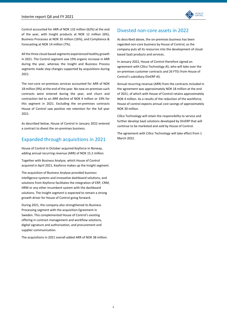

Control accounted for ARR of NOK 132 million (62%) at the end of the year, with Insight products at NOK 12 million (6%), Business Processes at NOK 35 million (16%), and Compliance & Forecasting at NOK 14 million (7%).

All the three cloud-based segments experienced healthy growth in 2021. The Control segment saw 19% organic increase in ARR during the year, whereas the Insight and Business Process segments made step changes supported by acquisitions during 2021.

The non-core on-premises services accounted for ARR of NOK 18 million (9%) at the end of the year. No new on-premises such contracts were entered during the year, and churn and contraction led to an ARR decline of NOK 4 million or 19% for this segment in 2021. Excluding the on-premises contracts House of Control saw positive net retention for the full year 2021.

As described below, House of Control in January 2022 entered a contract to divest the on-premises business.

# Expanded through acquisitions in 2021

House of Control in October acquired Keyforce in Norway, adding annual recurring revenue (ARR) of NOK 15.2 million.

Together with Business Analyze, which House of Control acquired in April 2021, Keyforce makes up the Insight segment.

The acquisition of Business Analyse provided business intelligence systems and innovative dashboard solutions, and solutions from Keyforce facilitates the integration of ERP, CRM, HRM or any other incumbent system with the dashboard solutions. The Insight segment is expected to remain a strong growth driver for House of Control going forward.

During 2021, the company also strengthened its Business Processing segment with the acquisition Egreement in Sweden. This complemented House of Control's existing offering in contract management and workflow solutions, digital signature and authorization, and procurement and supplier communication.

The acquisitions in 2021 overall added ARR of NOK 38 million.

### Divested non-core assets in 2022

As described above, the on-premises business has been regarded non-core business by House of Control, as the company puts all its resources into the development of cloudbased SaaS products and services.

In January 2022, House of Control therefore signed an agreement with Cillco Technology AS, who will take over the on-premises customer contracts and 26 FTEs from House of Control's subsidiary DinERP AS.

Annual recurring revenue (ARR) from the contracts included in the agreement was approximately NOK 18 million at the end of 2021, of which with House of Control retains approximately NOK 4 million. As a results of the reduction of the workforce, House of control expects annual cost savings of approximately NOK 30 million.

Cillco Technology will retain the responsibility to service and further develop SaaS solutions developed by DinERP that will continue to be marketed and sold by House of Control.

The agreement with Cillco Technology will take effect from 1 March 2022.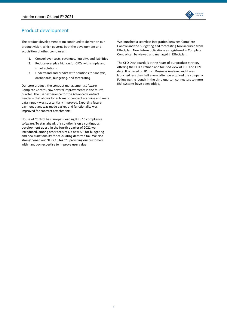

# Product development

The product development team continued to deliver on our product vision, which governs both the development and acquisition of other companies:

- 1. Control over costs, revenues, liquidity, and liabilities
- 2. Reduce everyday friction for CFOs with simple and smart solutions
- 3. Understand and predict with solutions for analysis, dashboards, budgeting, and forecasting

Our core product, the contract management software Complete Control, saw several improvements in the fourth quarter. The user experience for the Advanced Contract Reader – that allows for automatic contract scanning and meta data input – was substantially improved. Exporting future payment plans was made easier, and functionality was improved for contract attachments.

House of Control has Europe's leading IFRS 16 compliance software. To stay ahead, this solution is on a continuous development quest. In the fourth quarter of 2021 we introduced, among other features, a new API for budgeting and new functionality for calculating deferred tax. We also strengthened our "IFRS 16 team", providing our customers with hands-on expertise to improve user value.

We launched a seamless integration between Complete Control and the budgeting and forecasting tool acquired from Effectplan. Now future obligations as registered in Complete Control can be viewed and managed in Effectplan.

The CFO Dashboards is at the heart of our product strategy, offering the CFO a refined and focused view of ERP and CRM data. It is based on IP from Business Analyze, and it was launched less than half a year after we acquired the company. Following the launch in the third quarter, connectors to more ERP systems have been added.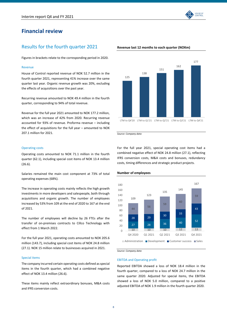# **Financial review**

### Results for the fourth quarter 2021

Figures in brackets relate to the corresponding period in 2020.

#### Revenue

House of Control reported revenue of NOK 52.7 million in the fourth quarter 2021, representing 41% increase over the same quarter last year. Organic revenue growth was 20%, excluding the effects of acquisitions over the past year.

Recurring revenue amounted to NOK 49.4 million in the fourth quarter, corresponding to 94% of total revenue.

Revenue for the full year 2021 amounted to NOK 177.2 million, which was an increase of 42% from 2020. Recurring revenue accounted for 93% of revenue. Proforma revenue – including the effect of acquisitions for the full year – amounted to NOK 207.1 million for 2021.

### **Revenue last 12 months to each quarter (NOKm)**



*Source: Company data* 

### Operating costs

Operating costs amounted to NOK 71.1 million in the fourth quarter (62.1), including special cost items of NOK 13.4 million (26.6).

Salaries remained the main cost component at 73% of total operating expenses (68%).

The increase in operating costs mainly reflects the high growth investments in more developers and salespeople, both through acquisitions and organic growth. The number of employees increased by 53% from 109 at the end of 2020 to 167 at the end of 2021.

The number of employees will decline by 26 FTEs after the transfer of on-premises contracts to Cillco Technology with effect from 1 March 2022.

For the full year 2021, operating costs amounted to NOK 205.6 million (143.7), including special cost items of NOK 24.8 million (27.1). NOK 15 million relate to businesses acquired in 2021.

### Special items

The company incurred certain operating costs defined as special items in the fourth quarter, which had a combined negative effect of NOK 13.4 million (26.6).

These items mainly reflect extraordinary bonuses, M&A costs and IFRS conversion costs.

For the full year 2021, special operating cost items had a combined negative effect of NOK 24.8 million (27.1), reflecting IFRS conversion costs, M&A costs and bonuses, redundancy costs, timing differences and strategic product projects.



### **Number of employees**

*Source: Company data* 

EBITDA and Operating profit

Reported EBITDA showed a loss of NOK 18.4 million in the fourth quarter, compared to a loss of NOK 24.7 million in the same quarter 2020. Adjusted for special items, the EBITDA showed a loss of NOK 5.0 million, compared to a positive adjusted EBITDA of NOK 1.9 million in the fourth quarter 2020.

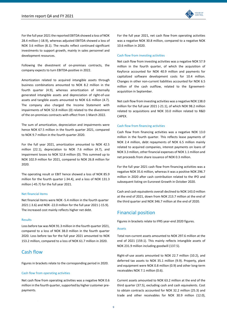

For the full year 2021 the reported EBITDA showed a loss of NOK 28.4 million (-18.9), whereas adjusted EBITDA showed a loss of NOK 3.6 million (8.1). The results reflect continued significant investments to support growth, mainly in sales personnel and development resources.

Following the divestment of on-premises contracts, the company expects to turn EBITDA-positive in 2022.

Amortization related to acquired intangible assets through business combinations amounted to NOK 8.2 million in the fourth quarter (4.9), whereas amortization of internally generated intangible assets and depreciation of right-of-use assets and tangible assets amounted to NOK 6.6 million (4.7). The company also charged the Income Statement with impairments of NOK 52.8 million (0) related to the divestment of the on-premises contracts with effect from 1 March 2022.

The sum of amortization, depreciation and impairments were hence NOK 67.5 million in the fourth quarter 2021, compared to NOK 9.7 million in the fourth quarter 2020.

For the full year 2021, amortization amounted to NOK 42.5 million (22.1), depreciation to NOK 7.6 million (4.7), and impairment losses to NOK 52.8 million (0). This summed up to NOK 102.9 million for 2021, compared to NOK 26.8 million for 2020.

The operating result or EBIT hence showed a loss of NOK 85.9 million for the fourth quarter (-34.4), and a loss of NOK 131.3 million (-45.7) for the full year 2021.

### Net financial items

Net financial items were NOK -5.4 million in the fourth quarter 2021 (-3.6) and NOK -22.0 million for the full year 2021 (-15.9). The increased cost mainly reflects higher net debt.

#### Results

Loss before tax was NOK 91.3 million in the fourth quarter 2021, compared to a loss of NOK 38.0 million in the fourth quarter 2020. Loss before tax for the full year 2021 amounted to NOK 153.2 million, compared to a loss of NOK 61.7 million in 2020.

### Cash flow

Figures in brackets relate to the corresponding period in 2020.

### Cash flow from operating activities

Net cash flow from operating activities was a negative NOK 0.6 million in the fourth quarter, supported by higher customer prepayments.

For the full year 2021, net cash flow from operating activities was a negative NOK 30.8 million, compared to a negative NOK 10.6 million in 2020.

#### Cash flow from investing activities

Net cash flow from investing activities was a negative NOK 57.9 million in the fourth quarter, of which the acquisition of Keyforce accounted for NOK 40.9 million and payments for capitalized software development costs for 10.4 million. Changes in other non-current liabilities accounted for NOK 6.5 million of the cash outflow, related to the Egreementacquisition in September.

Net cash flow from investing activities was a negative NOK 138.0 million for the full year 2021 (-21.1), of which NOK 98.2 million related to acquisitions and NOK 33.0 million related to R&D CAPEX.

### Cash flow from financing activities

Cash flow from financing activities was a negative NOK 13.0 million in the fourth quarter. This reflects lease payments of NOK 2.4 million, debt repayments of NOK 6.5 million mainly related to acquired companies, interest payments on loans of NOK 3.3 million, other financial expenses of NOK 1.1 million and net proceeds from share issuance of NOK 0.3 million.

For the full year 2021 cash flow from financing activities was a negative NOK 35.6 million, whereas it was a positive NOK 296.7 million in 2020 after cash contribution related to the IPO and subsequent listing on Euronext Growth in October 2020.

Cash and cash equivalents overall declined to NOK 143.0 million at the end of 2021, down from NOK 213.7 million at the end of the third quarter and NOK 346.7 million at the end of 2020.

### Financial position

Figures in brackets relate to IFRS year-end 2020 figures.

### Assets

Total non-current assets amounted to NOK 297.6 million at the end of 2021 (159.1). This mainly reflects intangible assets of NOK 231.9 million including goodwill (137.5).

Right-of-use assets amounted to NOK 22.7 million (10.2), and deferred tax assets to NOK 35.1 million (9.9). Property, plant and equipment were NOK 0.8 million (0.9) and other long-term receivables NOK 7.1 million (0.6).

Current assets amounted to NOK 63.2 million at the end of the third quarter (37.5), excluding cash and cash equivalents. Cost to obtain contracts accounted for NOK 32.2 million (25.3) and trade and other receivables for NOK 30.9 million (12.0),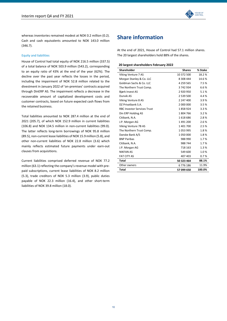

whereas inventories remained modest at NOK 0.2 million (0.2). Cash and cash equivalents amounted to NOK 143.0 million (346.7).

### Equity and liabilities

House of Control had total equity of NOK 216.5 million (337.5) of a total balance of NOK 503.9 million (543.2), corresponding to an equity ratio of 43% at the end of the year (62%). The decline over the past year reflects the losses in the period, including the impairment of NOK 52.8 million related to the divestment in January 2022 of 'on-premises' contracts acquired through DinERP AS. The impairment reflects a decrease in the recoverable amount of capitalized development costs and customer contracts, based on future expected cash flows from the retained business.

Total liabilities amounted to NOK 287.4 million at the end of 2021 (205.7), of which NOK 152.9 million in current liabilities (106.8) and NOK 134.5 million in non-current liabilities (99.0). The latter reflects long-term borrowings of NOK 95.8 million (89.5), non-current lease liabilities of NOK 15.9 million (5.8), and other non-current liabilities of NOK 22.8 million (3.6) which mainly reflects estimated future payments under earn-out clauses from acquisitions.

Current liabilities comprised deferred revenue of NOK 77.2 million (63.1) reflecting the company's revenue model with prepaid subscriptions, current lease liabilities of NOK 8.2 million (5.3), trade creditors of NOK 5.3 million (3.9), public duties payable of NOK 22.3 million (16.4), and other short-term liabilities of NOK 39.8 million (18.0).

# **Share information**

At the end of 2021, House of Control had 57.1 million shares. The 20 largest shareholders hold 88% of the shares.

### **20 largest shareholders February 2022**

| Shareholder                        | <b>Shares</b> | % Stake |
|------------------------------------|---------------|---------|
| Viking Venture 7 AS                | 10 372 500    | 18.2%   |
| Morgan Stanley & Co. LLC           | 8 308 444     | 14.6%   |
| Goldman Sachs & Co. LLC            | 4 259 565     | 7.5%    |
| The Northern Trust Comp.           | 3742934       | 6.6%    |
| Bjørk Invest AS                    | 2920950       | 5.1%    |
| Dunvik AS                          | 2 539 500     | 4.4%    |
| Viking Venture 8 AS                | 2 247 400     | 3.9%    |
| DZ Privatbank S.A.                 | 2 000 000     | 3.5%    |
| <b>RBC Investor Services Trust</b> | 1858924       | 3.3%    |
| Din ERP Holding AS                 | 1804766       | 3.2%    |
| Citibank, N.A.                     | 1618686       | 2.8%    |
| J.P. Morgan AG                     | 1491200       | 2.6%    |
| Viking Venture 7B AS               | 1401700       | 2.5%    |
| The Northern Trust Comp.           | 1053995       | 1.8%    |
| Danske Bank A/S                    | 1050000       | 1.8%    |
| <b>BNP Paribas</b>                 | 988 990       | 1.7%    |
| Citibank, N.A.                     | 988 744       | 1.7%    |
| J.P. Morgan AG                     | 718 163       | 1.3%    |
| <b>NIKFAN AS</b>                   | 549 600       | 1.0%    |
| <b>FAT CITY AS</b>                 | 407 403       | 0.7%    |
| Total                              | 50 323 464    | 88.1%   |
| Other owners                       | 6776186       | 11.9%   |
| <b>Total</b>                       | 57 099 650    | 100.0%  |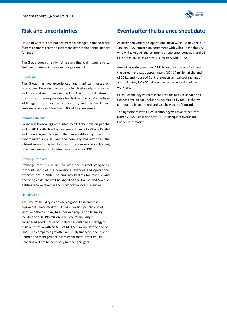

# **Risk and uncertainties**

House of Control does not see material changes in financial risk factors compared to the assessment given in the Annual Report for 2020.

The Group does currently not use any financial instruments to limit credit, interest rate or exchange rate risks.

### Credit risk

The Group has not experienced any significant losses on receivables. Recurring invoices are invoiced yearly in advance, and the credit risk is perceived as low. The horizontal nature of the product offering provides a highly diversified customer base with regards to industries and sectors, and the five largest customers represent less than 10% of total revenues.

#### Interest rate risk

Long-term borrowings amounted to NOK 95.8 million per the end of 2021, reflecting loan agreements with AshGrove Capital and Innovasjon Norge. The interest-bearing debt is denominated in NOK, and the company has not fixed the interest rate which is tied to NIBOR. The company's cash holding is held in bank accounts, also denominated in NOK.

#### Exchange rate risk

Exchange rate risk is limited with the current geographic footprint. Most of the company's revenues and operational expenses are in NOK. The currency baskets for revenue and operating costs are well balanced as the Danish and Swedish entities receive revenue and incur cost in local currencies.

### Liquidity risk

The Group's liquidity is considered good. Cash and cash equivalents amounted to NOK 143.0 million per the end of 2021, and the company has undrawn acquisition financing facilities of NOK 198 million. The Group's liquidity is considered good. House of Control has outlined a strategy to build a portfolio with an ARR of NOK 500 million by the end of 2025. The company's growth plan is fully financed, and it is the Board's and management' assessment that further equity financing will not be necessary to reach this goal.

# **Events after the balance sheet date**

As described under the Operational Review, House of Control in January 2022 entered an agreement with Cillco Technology AS, who will take over the on-premises customer contracts and 26 FTEs from House of Control's subsidiary DinERP AS.

Annual recurring revenue (ARR) from the contracts included in the agreement was approximately NOK 14 million at the end of 2021, and House of Control expects annual cost savings of approximately NOK 30 million due to the reduction of the workforce.

Cillco Technology will retain the responsibility to service and further develop SaaS solutions developed by DinERP that will continue to be marketed and sold by House of Control.

The agreement with Cillco Technology will take effect from 1 March 2022. Please see note 11 – Subsequent events for further information.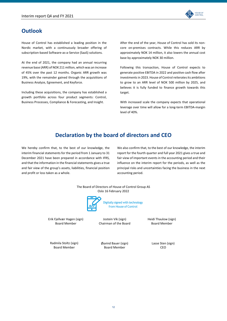

# **Outlook**

House of Control has established a leading position in the Nordic market, with a continuously broader offering of subscription-based Software-as-a-Service (SaaS) solutions.

At the end of 2021, the company had an annual recurring revenue base (ARR) of NOK 211 million, which was an increase of 45% over the past 12 months. Organic ARR growth was 19%, with the remainder gained through the acquisitions of Business Analyze, Egreement, and Keyforce.

Including these acquisitions, the company has established a growth portfolio across four product segments: Control, Business Processes, Compliance & Forecasting, and Insight.

After the end of the year, House of Control has sold its noncore on-premises contracts. While this reduces ARR by approximately NOK 14 million, it also lowers the annual cost base by approximately NOK 30 million.

Following this transaction, House of Control expects to generate positive EBITDA in 2022 and positive cash flow after investments in 2023. House of Control reiterates its ambitions to grow to an ARR level of NOK 500 million by 2025, and believes it is fully funded to finance growth towards this target.

With increased scale the company expects that operational leverage over time will allow for a long-term EBITDA-margin level of 40%.

# **Declaration by the board of directors and CEO**

We hereby confirm that, to the best of our knowledge, the interim financial statements for the period from 1 January to 31 December 2021 have been prepared in accordance with IFRS, and that the information in the financial statements gives a true and fair view of the group's assets, liabilities, financial position and profit or loss taken as a whole.

We also confirm that, to the best of our knowledge, the interim report for the fourth quarter and full year 2021 gives a true and fair view of important events in the accounting period and their influence on the interim report for the periods, as well as the principal risks and uncertainties facing the business in the next accounting period.



Erik Fjellvær Hagen (sign) Board Member

Jostein Vik (sign) Chairman of the Board

from House of Control

Heidi Thaulow (sign) Board Member

Radmila Stoltz (sign) Board Member

Øyvind Bauer (sign) Board Member

Lasse Sten (sign) CEO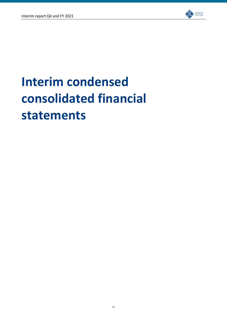

# **Interim condensed consolidated financial statements**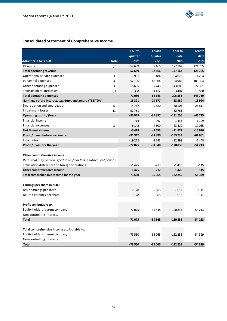

# **Consolidated Statement of Comprehensive Income**

|                                                                         |             | <b>Fourth</b> | <b>Fourth</b> | <b>Year to</b> | <b>Year to</b> |
|-------------------------------------------------------------------------|-------------|---------------|---------------|----------------|----------------|
|                                                                         |             | quarter       | quarter       | date           | date           |
| <b>Amounts in NOK 1000</b>                                              | <b>Note</b> | 2021          | 2020          | 2021           | 2020           |
| Revenue                                                                 | 3, 6        | 52 689        | 37466         | 177 162        | 124 795        |
| <b>Total operating revenue</b>                                          |             | 52 689        | 37466         | 177 162        | 124 795        |
| Operational service expenses                                            | 3           | 1951          | 484           | 4076           | 1254           |
| Personnel expenses                                                      | 3           | 52 136        | 42 504        | 154 982        | 106 304        |
| Other operating expenses                                                | 3           | 15 655        | 7743          | 43 089         | 22 3 31        |
| <b>Transaction related costs</b>                                        | 3, 4        | 1338          | 11 4 12       | 3 4 0 4        | 13830          |
| <b>Total operating expenses</b>                                         |             | 71 080        | 62 143        | 205 551        | 143719         |
| Earnings before interest, tax, depr. and amort. ("EBITDA")              |             | $-18391$      | $-24677$      | $-28389$       | $-18924$       |
| Depreciation and amortization                                           | 5           | 14767         | 9680          | 50 105         | 26811          |
| <b>Impairment losses</b>                                                | 11          | 52761         |               | 52 761         |                |
| Operating profit / (loss)                                               |             | $-85919$      | $-34357$      | $-131256$      | $-45735$       |
| Financial income                                                        |             | 714           | 967           | 1433           | 1 1 0 9        |
| Financial expenses                                                      | 8           | 6 1 4 2       | 4600          | 23 4 10        | 17035          |
| <b>Net financial items</b>                                              |             | $-5428$       | $-3633$       | $-21977$       | $-15926$       |
| Profit / (Loss) before income tax                                       |             | -91 347       | -37 990       | $-153233$      | $-61661$       |
| Income tax                                                              |             | $-19272$      | $-3143$       | $-32398$       | $-7448$        |
| Profit / (Loss) for the year                                            |             | $-72075$      | $-34848$      | $-120835$      | $-54213$       |
|                                                                         |             |               |               |                |                |
| Other comprehensive income                                              |             |               |               |                |                |
| Items that may be reclassified to profit or loss in subsequent periods: |             |               |               |                |                |
| Translation differences on foreign operations                           |             | $-1475$       | $-217$        | $-1420$        | $-115$         |
| Other comprehensive income                                              |             | $-1475$       | $-217$        | $-1420$        | $-115$         |
| Total comprehensive income for the year                                 |             | -73 550       | $-35065$      | $-122255$      | $-54329$       |
|                                                                         |             |               |               |                |                |
| Earnings per share in NOK:                                              |             |               |               |                |                |
| Basic earnings per share                                                |             | $-1,28$       | $-0,65$       | $-2,12$        | $-1,41$        |
| Diluted earnings per share                                              |             | $-1,28$       | $-0,65$       | $-2,12$        | $-1,41$        |
|                                                                         |             |               |               |                |                |
| Profit attributable to:                                                 |             |               |               |                |                |
| Equity holders (parent company)                                         |             | $-72075$      | $-34848$      | $-120835$      | -54 213        |
| Non-controlling interests                                               |             |               |               |                |                |
| <b>Total</b>                                                            |             | $-72075$      | $-34848$      | $-120835$      | $-54213$       |
|                                                                         |             |               |               |                |                |
| Total comprehensive income attributable to:                             |             |               |               |                |                |
| Equity holders (parent company)                                         |             | $-73550$      | $-35065$      | $-122255$      | $-54329$       |
| Non-controlling interests                                               |             |               |               |                |                |
| <b>Total</b>                                                            |             | $-73550$      | $-35065$      | $-122255$      | $-54329$       |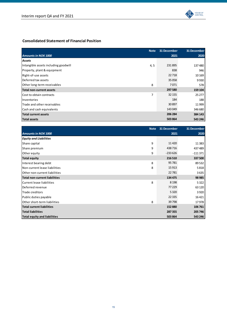

### **Consolidated Statement of Financial Position**

|                                      | <b>Note</b> | 31 December | 31 December |
|--------------------------------------|-------------|-------------|-------------|
| <b>Amounts in NOK 1000</b>           |             | 2021        | 2020        |
| Assets                               |             |             |             |
| Intangible assets including goodwill | 4, 5        | 231895      | 137480      |
| Property, plant & equipment          |             | 838         | 946         |
| Right-of-use assets                  |             | 22718       | 10 169      |
| Deferred tax assets                  |             | 35 0 58     | 9930        |
| Other long-term receivables          | 8           | 7071        | 578         |
| Total non-current assets             |             | 297 580     | 159 104     |
| Cost to obtain contracts             | 7           | 32 155      | 25 277      |
| <b>Inventories</b>                   |             | 184         | 188         |
| Trade and other receivables          |             | 30 897      | 11999       |
| Cash and cash equivalents            |             | 143 049     | 346 680     |
| Total current assets                 |             | 206 284     | 384 143     |
| <b>Total assets</b>                  |             | 503 864     | 543 246     |

|                                      | <b>Note</b> | 31 December | 31 December |
|--------------------------------------|-------------|-------------|-------------|
| <b>Amounts in NOK 1000</b>           |             | 2021        | 2020        |
| <b>Equity and Liabilities</b>        |             |             |             |
| Share capital                        | 9           | 11 4 20     | 11 3 83     |
| Share premium                        | 9           | 438716      | 437 489     |
| Other equity                         | 9           | $-233626$   | $-111371$   |
| Total equity                         |             | 216 510     | 337 500     |
| Interest bearing debt                | 8           | 95 781      | 89 532      |
| Non-current lease liabilities        | 8           | 15 9 13     | 5818        |
| Other non-current liabilities        |             | 22 781      | 3635        |
| <b>Total non-current liabilities</b> |             | 134 475     | 98 985      |
| Current lease liabilities            | 8           | 8 1 9 8     | 5322        |
| Deferred revenue                     |             | 77 229      | 63 1 20     |
| Trade creditors                      |             | 5 3 2 0     | 3920        |
| Public duties payable                |             | 22 3 35     | 16 4 21     |
| Other short-term liabilities         | 8           | 39 798      | 17978       |
| <b>Total current liabilities</b>     |             | 152 880     | 106 761     |
| <b>Total liabilities</b>             |             | 287 355     | 205 746     |
| Total equity and liabilities         |             | 503 864     | 543 246     |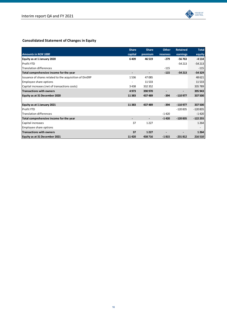

# **Consolidated Statement of Changes in Equity**

|                                                         | <b>Share</b> | <b>Share</b> | <b>Other</b> | <b>Retained</b> | <b>Total</b> |
|---------------------------------------------------------|--------------|--------------|--------------|-----------------|--------------|
| <b>Amounts in NOK 1000</b>                              | capital      | premium      | reserves     | earnings        | equity       |
| Equity as at 1 January 2020                             | 6409         | 46 519       | $-279$       | $-56763$        | $-4114$      |
| <b>Profit YTD</b>                                       |              |              |              | $-54213$        | $-54213$     |
| <b>Translation differences</b>                          |              |              | $-115$       |                 | $-115$       |
| Total comprehensive income for the year                 |              |              | $-115$       | $-54213$        | $-54329$     |
| Issuance of shares related to the acquisition of DinERP | 1536         | 47085        |              |                 | 48 621       |
| Employee share options                                  |              | 11 5 33      |              |                 | 11 5 33      |
| Capital increases (net of transactions costs)           | 3438         | 332 352      |              |                 | 335 789      |
| <b>Transactions with owners</b>                         | 4973         | 390 970      |              |                 | 395 943      |
| Equity as at 31 December 2020                           | 11 3 8 3     | 437 489      | -394         | $-110977$       | 337 500      |
|                                                         |              |              |              |                 |              |
| Equity as at 1 January 2021                             | 11 3 8 3     | 437 489      | $-394$       | $-110977$       | 337 500      |
| <b>Profit YTD</b>                                       |              |              |              | $-120835$       | $-120835$    |
| <b>Translation differences</b>                          |              |              | $-1420$      |                 | $-1420$      |
| Total comprehensive income for the year                 |              |              | $-1420$      | $-120835$       | $-122255$    |
| Capital increases                                       | 37           | 1 2 2 7      |              |                 | 1 2 6 4      |
| Employee share options                                  |              |              |              |                 |              |
| <b>Transactions with owners</b>                         | 37           | 1227         |              |                 | 1 2 6 4      |
| Equity as at 31 December 2021                           | 11420        | 438716       | $-1815$      | $-231812$       | 216 510      |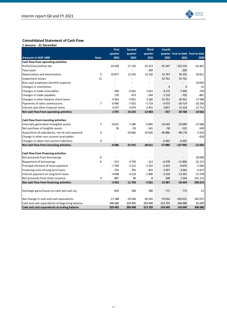

### **Consolidated Statement of Cash Flow**

|                                                  |             | <b>First</b>   | Second         | <b>Third</b>   | <b>Fourth</b> |                                   |          |
|--------------------------------------------------|-------------|----------------|----------------|----------------|---------------|-----------------------------------|----------|
|                                                  |             | quarter        | quarter        | quarter        |               | quarter Year to date Year to date |          |
| <b>Amounts in NOK 1000</b>                       | <b>Note</b> | 2021           | 2021           | 2021           | 2021          | 2021                              | 2020     |
| Cash flow from operating activities              |             |                |                |                |               |                                   |          |
| Profit/(loss) before tax                         |             | $-19438$       | $-17135$       | $-25313$       | $-91347$      | $-153233$                         | $-61661$ |
| Taxes paid                                       |             |                |                | $-209$         |               | $-209$                            |          |
| Depreciation and amortization                    | 5           | 10877          | 12 2 35        | 12 2 2 6       | 14767         | 50 105                            | 26 811   |
| Impairment losses                                | 11          |                |                |                | 52761         | 52761                             |          |
| Non-cash employee benefits expense               |             |                |                | $\overline{a}$ |               |                                   | 10816    |
| Changes in inventories                           |             | $\overline{a}$ | $\overline{a}$ | $\overline{a}$ | 4             | 4                                 | 31       |
| Changes in trade receivables                     |             | $-290$         | $-4501$        | 1621           | $-4275$       | $-7446$                           | 278      |
| Changes in trade payables                        |             | 176            | 473            | $-244$         | $-1110$       | $-705$                            | $-881$   |
| Changes in other balance sheet items             |             | 9363           | $-4952$        | 3 1 8 0        | 31761         | 39 351                            | 17588    |
| Payments of sales commissions                    | 7           | $-6990$        | $-7032$        | $-5719$        | $-6973$       | $-26714$                          | $-16256$ |
| Interest and other financial items               |             | 4327           | 4679           | 2455           | 3857          | 15 3 18                           | 12712    |
| Net cash flow from operating activities          |             | $-1975$        | $-16233$       | $-12003$       | $-557$        | $-30768$                          | $-10562$ |
|                                                  |             |                |                |                |               |                                   |          |
| Cash flow from investing activities              |             |                |                |                |               |                                   |          |
| Internally generated intangible assets           | 5           | $-8622$        | $-7189$        | $-6845$        | $-10443$      | $-33099$                          | $-17668$ |
| Net purchase of tangible assets                  |             | 36             | $-59$          | $-141$         | $-58$         | $-222$                            | $-549$   |
| Acquisition of subsidaries, net of cash acquired | 4           | $\overline{a}$ | $-24666$       | $-32626$       | $-40886$      | $-98178$                          | $-2416$  |
| Change in other non-current receivables          |             |                | $\overline{a}$ |                |               |                                   | $-418$   |
| Changes in other non-current liabilities         | 4           |                |                |                | $-6493$       | $-6493$                           |          |
| Net cash flow from investing activities          |             | $-8586$        | $-31915$       | $-39611$       | $-57880$      | $-137992$                         | $-21050$ |
|                                                  |             |                |                |                |               |                                   |          |
| Cash flow from financing activities              |             |                |                |                |               |                                   |          |
| Net proceeds from borrowings                     | 8           |                |                |                |               |                                   | 20 000   |
| Repayment of borrowings                          | 8           | $-313$         | $-4703$        | $-313$         | $-6478$       | $-11806$                          | $-31153$ |
| Principal element of lease payment               |             | $-1704$        | $-2212$        | $-2332$        | $-2422$       | $-8670$                           | $-5282$  |
| Financing costs of long term loans               |             | $-756$         | $-765$         | $-463$         | $-1057$       | $-3041$                           | $-6427$  |
| Interest payment on long term loans              |             | $-4048$        | $-4119$        | $-1906$        | $-3318$       | $-13391$                          | $-11578$ |
| Net proceeds from share issuance                 | 9           | 887            | 96             | -8             | 288           | 1 2 6 4                           | 331 112  |
| Net cash flow from financing activities          |             | $-5933$        | $-11703$       | $-5021$        | $-12987$      | $-35644$                          | 296 672  |
|                                                  |             |                |                |                |               |                                   |          |
| Exchange gains/losses on cash and cash eq.       |             | $-693$         | 306            | 390            | 771           | 773                               | 11       |
|                                                  |             |                |                |                |               |                                   |          |
| Net change in cash and cash equivalents          |             | $-17188$       | $-59544$       | $-56245$       | $-70654$      | $-203631$                         | 265 071  |
| Cash and cash equivalents at beginning balance   |             | 346 680        | 329 493        | 269 948        | 213 703       | 346 680                           | 81 609   |
| Cash and cash equivalents at ending balance      |             | 329 493        | 269 948        | 213 703        | 143 049       | 143 049                           | 346 680  |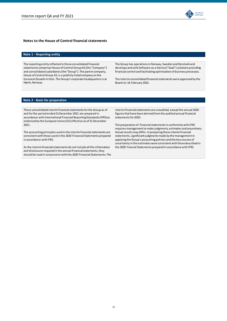

### **Notes to the House of Control financial statements**

### **Note 1 - Reporting entity**

The reporting entity reflected in these consolidated financial statements comprises House of Control Group AS (the "Company") and consolidated subsidiaries (the "Group"). The parent company, House of Control Group AS, is a publicly listed company on the Euronext Growth in Oslo. The Group's corporate headquarters is at Høvik, Norway.

The Group has operations in Norway, Sweden and Denmark and develops and sells Software-as-a-Service ("SaaS") solutions providing financial control and facilitating optimization of business processes.

The interim consolidated financial statements were approved by the Board on 16 February 2022.

### **Note 2 - Basis for preparation**

These consolidated interim financial statements for the Group as of and for the period ended 31 December 2021 are prepared in accordance with International Financial Reporting Standards (IFRS) as endorsed by the European Union (EU) effective as of 31 December 2021.

The accounting principles used in the interim financial statements are consistent with those used in the 2020 Financial Statements prepared in accordance with IFRS.

As the interim financial statements do not include all the information and disclosures required in the annual financial statements, they should be read in conjunction with the 2020 Financial Statements. The interim financial statements are unaudited, except the annual 2020 figures that have been derived from the audited annual financial statements for 2020.

The preparation of financial statements in conformity with IFRS requires management to make judgments, estimates and assumtions. Actual results may differ. In preparing these interim financial statements, significiant judgments made by the management in applying the Group's accounting policies and the key sources of uncertainty in the estimates were consistent with those described in the 2020 Fiancial Statements prepared in accordance with IFRS.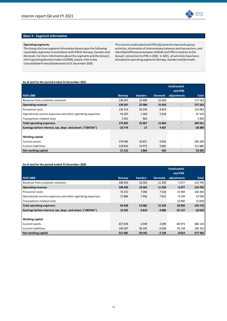

### **Note 3 - Segment information**

### **Operating segments**

The Group disclose segment information based upon the following reportable segments in accordance with IFRS 8: Norway, Sweden and Denmark. For more information about the segments and the Group's chief operating decision maker (CODM), please refer to the Consolidated Financial Statement at 31 December 2020.

The column unallocated and IFRS adjustments represents group activities, elimination of intercompany balances and transactions, and identified differences between NGAAP and IFRS in relation to the Group's conversion to IFRS in 2020. In 2021, all activities have been allocated to operating segments Norway, Sweden and Denmark.

### **As of and for the period ended 31 December 2021**

|                                                            |               |         |                          | <b>Unallocated</b>           |              |
|------------------------------------------------------------|---------------|---------|--------------------------|------------------------------|--------------|
|                                                            |               |         |                          | and IFRS                     |              |
| <b>NOK 1000</b>                                            | <b>Norway</b> | Sweden  | <b>Denmark</b>           | adjustments                  | <b>Total</b> |
| Revenue from customer contracts                            | 139 267       | 22 4 84 | 15410                    |                              | 177 162      |
| <b>Operating revenue</b>                                   | 139 267       | 22 4 84 | 15410                    | $\qquad \qquad \blacksquare$ | 177 162      |
| Personnel costs                                            | 126 314       | 20 244  | 8425                     |                              | 154 982      |
| Operational service expenses and other operating expenses  | 43 287        | 1 2 6 0 | 2618                     |                              | 47 165       |
| Transactions related costs                                 | 2 4 4 1       | 963     | $\overline{\phantom{a}}$ | $\overline{\phantom{a}}$     | 3 4 0 4      |
| <b>Total operating expenses</b>                            | 172041        | 22 467  | 11043                    | $\overline{\phantom{0}}$     | 205 551      |
| Earnings before interest, tax, depr. and amort. ("EBITDA") | $-32774$      | 17      | 4367                     | $\blacksquare$               | $-28389$     |
|                                                            |               |         |                          |                              |              |
| Working capital                                            |               |         |                          |                              |              |
| Current assets                                             | 179 946       | 16837   | 9 5 0 2                  | $\overline{\phantom{a}}$     | 206 284      |
| <b>Current liabilities</b>                                 | 128 824       | 14 973  | 9082                     |                              | 152 880      |
| Net working capital                                        | 51 121        | 1864    | 420                      |                              | 53 405       |

### **As of and for the period ended 31 December 2020**

|                                                            |               |          |                          | <b>Unallocated</b> |              |
|------------------------------------------------------------|---------------|----------|--------------------------|--------------------|--------------|
|                                                            |               |          |                          | and IFRS           |              |
| <b>NOK 1000</b>                                            | <b>Norway</b> | Sweden   | <b>Denmark</b>           | adjustments        | <b>Total</b> |
| Revenue from customer contracts                            | 108 359       | 10 26 3  | 11 250                   | $-5077$            | 124 795      |
| Operating revenue                                          | 108 359       | 10 263   | 11 250                   | $-5077$            | 124 795      |
| Personnel costs                                            | 76 372        | 7046     | 7518                     | 15 3 69            | 106 304      |
| Operational service expenses and other operating expenses  | 17886         | 7036     | 7812                     | -9 149             | 23 5 85      |
| Transactions related costs                                 |               |          | $\overline{\phantom{a}}$ | 13830              | 13830        |
| Total operating expenses                                   | 94 258        | 14082    | 15 3 29                  | 20 050             | 143719       |
| Earnings before interest, tax, depr. and amort. ("EBITDA") | 14 101        | $-3819$  | $-4080$                  | $-25127$           | $-18924$     |
|                                                            |               |          |                          |                    |              |
| Working capital                                            |               |          |                          |                    |              |
| Current assets                                             | 457878        | 6939     | 4 2 9 9                  | -84 973            | 384 143      |
| Current liabilities                                        | 140 397       | 36 104   | 6418                     | $-76158$           | 106 761      |
| Net working capital                                        | 317481        | $-29165$ | $-2120$                  | $-8814$            | 277382       |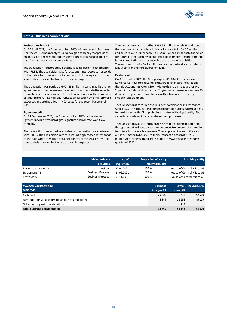### **Note 4 - Business combinations**

### **Business Analyze AS**

On 27 April 2021, the Group acquired 100% of the shares in Business Analyze AS. Business Analyze is a Norwegian company that provides Business Intelligence (BI) solutions that extract, analyze and present data from various stand-alone systems.

The transaction is recorded as a business combination in accordance with IFRS 3. The acquisition date for accounting purposes corresponds to the date when the Group obtained control of the legal entity. The same date is relevant for tax and economic purposes.

The transaction was settled by NOK 29 million in cash. In addition, the agreement included an earn-out element to compensate the seller for future business achievements. The net present value of the earn-out is estimated to NOK 4.8 million. Transaction costs of NOK 1 million were expensed and are included in M&A costs for the second quarter of 2021.

#### **EgreementAB**

company. On 24 September 2021, the Group acquired 100% of the shares in Egreement AB, a Swedish digital signature and contract workflow

The transaction is recorded as a business combination in accordance with IFRS 3. The acquisition date for accounting purposes corresponds to the date when the Group obtained control of the legal entity. The same date is relevant for tax and economic purposes.

The transaction was settled by NOK 36.8 million in cash. In addition, the purchase price includes a hold-back amount of NOK 6.5 million and an earn-out element of NOK 11.2 million to compensate the seller for future business achievements. Hold-back amount and the earn-out is measured to the net present value of the time of acquisition. Transaction costs of NOK 1 million were expensed and are included in M&A costs for the third quarter of 2021.

#### **Keyforce AS**

On 3 November 2021, the Group acquired 100% of the shares in Keyforce AS. Keyforce develops software for standard integrations that tie accounting systems from Microsoft and Visma together with SuperOffice CRM. With more than 20 years of experience, Keyforce AS delivers integrations to Scandinavia with subsidiaries in Norway, Sweden, and Denmark.

The transaction is recorded as a business combination in accordance with IFRS 3. The acquisition date for accounting purposes corresponds to the date when the Group obtained control of the legal entity. The same date is relevant for tax and economic purposes.

The transaction was settled by NOK 42.5 million in cash. In addition, the agreement included an earn-out element to compensate the seller for future business achievements. The net present value of the earnout is estimated to NOK 9.2 million. Transaction costs of NOK 0.9 million were expensed and are included in M&A costs for the fourth quarter of 2021.

|                            | <b>Main business</b>    | Date of    | <b>Proportion of voting</b> | <b>Acquiring entity</b>   |
|----------------------------|-------------------------|------------|-----------------------------|---------------------------|
|                            | activities              | acqusition | equity acquired             |                           |
| <b>Business Analyze AS</b> | Insight                 | 27.04.2021 | 100%                        | House of Control Midco AS |
| Egreement AB               | <b>Business Process</b> | 24.09.2021 | 100%                        | House of Control Midco AS |
| Keyforce AS                | <b>Business Process</b> | 03.11.2021 | 100%                        | House of Control Midco AS |

| <b>Purchase consideration</b>                        | <b>Business</b>          | Egree-  | <b>Keyforce AS</b> |
|------------------------------------------------------|--------------------------|---------|--------------------|
| <b>NOK 1000</b>                                      | <b>Analyze AS</b>        | ment AB |                    |
| Cash paid                                            | 29 000                   | 36 761  | 42 500             |
| Earn-out (fair value estimate at date of aquisition) | 4849                     | 11 194  | 9 1 7 9            |
| Other contingent considerations                      | $\overline{\phantom{a}}$ | 6493    |                    |
| Total purchase consideration                         | 33 849                   | 54 448  | 51 679             |

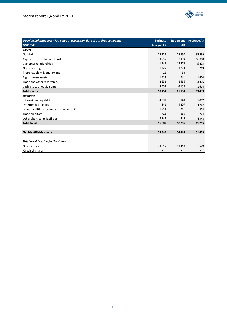

| Opening balance sheet - Fair value at acquisition date of acquired companies | <b>Business</b>   | <b>Egreement</b> | <b>Keyforce AS</b> |
|------------------------------------------------------------------------------|-------------------|------------------|--------------------|
| <b>NOK 1000</b>                                                              | <b>Analyze AS</b> | AB               |                    |
| <b>Assets</b>                                                                |                   |                  |                    |
| Goodwill                                                                     | 25 3 29           | 28750            | 35 5 39            |
| Capitalized development costs                                                | 13559             | 12 4 9 9         | 16 008             |
| Customer relationships                                                       | 1245              | 13 27 6          | 5 2 9 3            |
| Order backlog                                                                | 1429              | 4724             | 269                |
| Property, plant & equipment                                                  | 11                | 63               |                    |
| Right-of-use assets                                                          | 1914              | 241              | 1404               |
| Trade and other receivables                                                  | 2632              | 1466             | 3 3 0 6            |
| Cash and cash equivalents                                                    | 4 3 3 4           | 4 1 3 5          | 1614               |
| <b>Total assets</b>                                                          | 50 454            | 65 154           | 63 433             |
| <b>Liabilities</b>                                                           |                   |                  |                    |
| Interest bearing debt                                                        | 4 3 9 1           | 5 1 4 9          | 1017               |
| Deferred tax liability                                                       | 841               | 4 2 0 7          | 4 2 6 2            |
| Lease liabilities (current and non-current)                                  | 1914              | 241              | 1404               |
| Trade creditors                                                              | 716               | 665              | 724                |
| Other short-term liabilities                                                 | 8743              | 445              | 4 3 4 8            |
| <b>Total Liabilities</b>                                                     | 16 605            | 10706            | 11755              |
|                                                                              |                   |                  |                    |
| Net identifiable assets                                                      | 33 849            | 54 448           | 51 679             |
|                                                                              |                   |                  |                    |
| <b>Total consideration for the shares</b>                                    |                   |                  |                    |
| Of which cash                                                                | 33 849            | 54 4 48          | 51 679             |
| Of which shares                                                              |                   |                  |                    |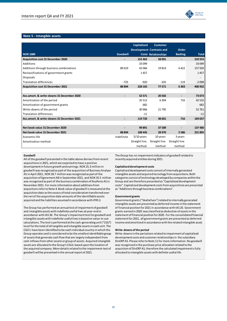

### **Note 5 - Intangible assets**

|                                           |                | <b>Capitalized</b> | <b>Customer</b>                                                | Order                    |              |
|-------------------------------------------|----------------|--------------------|----------------------------------------------------------------|--------------------------|--------------|
| <b>NOK 1000</b>                           | Goodwill       |                    | <b>Development Contracts and</b><br><b>Costs Relationships</b> | <b>Backlog</b>           | <b>Total</b> |
| <b>Acquisition cost 31 December 2020</b>  |                | 152 462            | 58 091                                                         | $\overline{\phantom{a}}$ | 210 553      |
| Additions                                 |                | 33 099             |                                                                |                          | 33099        |
| Additions through business combinations   | 89619          | 42066              | 19814                                                          | 6422                     | 157920       |
| Reclassifications of government grants    |                | 1457               |                                                                |                          | 1457         |
| <b>Disposals</b>                          |                |                    |                                                                |                          |              |
| <b>Translation differences</b>            | $-725$         | $-920$             | $-335$                                                         | $-119$                   | $-2098$      |
| <b>Acquisition cost 31 December 2021</b>  | 88 894         | 228 165            | 77571                                                          | 6303                     | 400 932      |
|                                           |                |                    |                                                                |                          |              |
| Acc.amort. & write-downs 31 December 2020 |                | 52 571             | 20 502                                                         |                          | 73 073       |
| Amortization of the period                |                | 35 5 12            | 6 3 0 4                                                        | 716                      | 42 5 32      |
| Amortization of government grants         |                | 682                |                                                                |                          | 682          |
| Write-downs of the period                 |                | 30 966             | 21 7 95                                                        |                          | 52761        |
| <b>Translation differences</b>            |                | $-11$              |                                                                |                          | $-11$        |
| Acc.amort. & write-downs 31 December 2021 | $\blacksquare$ | 119720             | 48 601                                                         | 716                      | 169 037      |
|                                           |                |                    |                                                                |                          |              |
| Net book value 31 December 2020           |                | 99891              | 37 589                                                         |                          | 137 480      |
| Net book value 31 December 2021           | 88 894         | 108 445            | 28 970                                                         | 5586                     | 231 895      |
| Economic life                             | Indefinite     | $5/10$ years       | 10 years                                                       | 3 years                  |              |
| Amortization method                       |                | Straight line      | Straight line                                                  | Straight line            |              |
|                                           |                | method             | method                                                         | method                   |              |

#### **Goodwill**

All of the goodwill presented in the table above derives from recent acquisitions in 2021, which are expected to have a positive development in future growth and earnings. NOK 25.3 million in goodwill was recognized as part of the acquisition of Business Analyze AS in April 2021, NOK 28.7 million was recognized as part of the acquisition of Egreement AB in September 2021, and NOK 35.5 million was recognized as part of the business combination of Keyforce AS in November 2021. For more information about additions from acqusitions refer to Note 4. Book value of goodwill is measured at the acquisition date as the excess of total consideration transferred over the net of the acquisition date amounts of the identifiable assets acquired and the liabilities assumed in accordance with IFRS 3.

The Group has performed an annual test of impairment of goodwill and intangible assets with indefinite useful lives at year-end in accordance with IAS 36. The Group's impairment test for goodwill and intangible assets with indefinite useful livesis based on value-in-use calculations. The test is performed at the cash-generating unit ("CGU") level for the total of all tangible and intangible assets in each unit. The CGU's have been identified to be each individual country in which the Group operates and is considered to be the smallest identifiable group of assets that generate cash flow that are largely independent from cash inflows from other assets or group of assets. Acquired intangible assets are allocated to the Group's CGUs based upon the location of the acquired company. More details related to the impairment-test of goodwill will be presented in the annual report of 2021.

The Group has no impairment indicators of goodwill related to recently acquired entities during 2021.

### **Capitalized development costs**

Capitalized development costs consist of internally generated intangible assets and acquired tecnology from acquisitions. Both categories consist of technology developed by companies within the Group and are therefore presented as "Capitalized development costs". Capitalized development costs from acquisitions are presented as "Additions through business combinations".

#### **Government grants**

Government grants ("Skattefunn") related to internally generated intangible assets are presented as deferred income in the statement of financial position for 2021 in accordance with IAS 20. Government grants earned in 2020 was classified as deduction of assets in the statement of financial position for 2020. For the consolidated financial statement for 2021, all government grants are presented as deferred income and amortized in accordance with the related intangible asset.

#### **Write-downs of the period**

Write-downs in the period are related to impairment of capitalized development costs and customer relationships in the subsidiary DinERP AS. Please refer to Note 11 for more information. No goodwill was recognized in the purchase price allocation related to the acquisiton of DinERP AS, therefore the calculated impairment is fully allocated to intangible assets with definite useful life.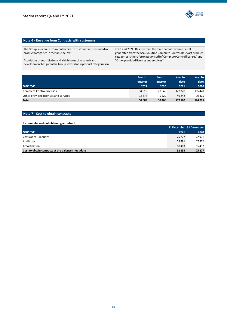

### **Note 6 - Revenue from Contracts with customers**

The Group's revenue from contracts with customers is presented in product categories in the table below.

Acquitions of subsidiaries and a high focus of research and development has given the Group several new product categories in 2020 and 2021. Despite that, the main part of revenue is still generated from the SaaS Solution Complete Control. Relevant product categories is therefore categorised in "Complete Control licenses" and "Other provided licenses and services".

|                                      | <b>Fourth</b> | <b>Fourth</b> | <b>Year to</b> | Year to |
|--------------------------------------|---------------|---------------|----------------|---------|
|                                      | quarter       | quarter       | date           | date    |
| <b>NOK 1000</b>                      | 2021          | 2020          | 2021           | 2020    |
| Complete Control licenses            | 34015         | 27 945        | 127 320        | 105 420 |
| Other provided licenses and services | 18674         | 9520          | 49 842         | 19 375  |
| <b>Total</b>                         | 52 689        | 37466         | 177 162        | 124 795 |

### **Note 7 - Cost to obtain contracts**

### **Incremental costs of obtaining a contract**

|                                                    |          | 31 December 31 December |
|----------------------------------------------------|----------|-------------------------|
| <b>NOK 1000</b>                                    | 2021     | 2020                    |
| Costs as of 1 January                              | 25 277   | 22 901                  |
| <b>Additions</b>                                   | 25 281   | 17862                   |
| Amortization                                       | $-18403$ | $-15487$                |
| Cost to obtain contracts at the balance sheet date | 32 155   | 25 277                  |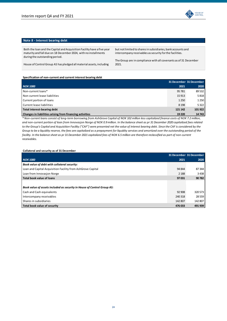

### **Note 8 - Interest bearing debt**

Both the loan and the Capital and Acquisition Facility have a five year maturity and fall due on 18 December 2024, with no installments during the outstanding period.

but not limited to shares in subsidiaries, bank accounts and intercompany receivables as security for the facilities.

The Group are in compliance with all covenants as of 31 December 2021.

House of Control Group AS has pledged all material assets, including

### **Specification of non-current and current interest bearing debt**

|                                                          |         | 31 December 31 December |
|----------------------------------------------------------|---------|-------------------------|
| <b>NOK 1000</b>                                          | 2021    | 2020                    |
| Non-current loans*                                       | 95 781  | 89 532                  |
| Non-current lease liabilities                            | 15 9 13 | 5818                    |
| Current portion of loans                                 | 1 2 5 0 | 1 2 5 0                 |
| Current lease liabilities                                | 8 1 9 8 | 5322                    |
| Total interest-bearing debt                              | 121 142 | 101 922                 |
| Changes in liabilities arising from financing activities | 19 2 20 | 14 743                  |

*\* Non-current loans consist of long-term borrowing from AshGrove Capital of NOK 102 million less capitalized finance costs of NOK 7.2 million,*  and non-current portion of loan from Innovasjon Norge of NOK 0.9 million. In the balance sheet as pr 31 December 2020 capitalized fees related to the Group's Capital and Acquisition Facility ("CAF") were presented net the value of interest bearing debt. Since the CAF is considered by the *Group to be a liquidity reserve, the fees are capitalized as a prepayment for liquidity services and amortized over the outstanding period of the facility. In the balance sheet as pr 31 December 2021 capitalized fees of NOK 6.5 million are therefore reclassified as part of non-current receivables.* 

### **Collateral and security as of 31 December**

|                                                                         | 31 December 31 December |          |
|-------------------------------------------------------------------------|-------------------------|----------|
| <b>NOK 1000</b>                                                         | 2021                    | 2020     |
| Book value of debt with collateral security:                            |                         |          |
| Loan and Capital Acquisition Facility from AshGrove Capital             | 94 844                  | 87344    |
| Loan from Innovasion Norge                                              | 2 1 8 8                 | 3438     |
| Total book value of loans                                               | 97031                   | 90 782   |
|                                                                         |                         |          |
| Book value of assets included as security in House of Control Group AS: |                         |          |
| Cash and Cash equivalents                                               | 92 908                  | 320 573  |
| Intercompany receivables                                                | 240 318                 | 28 5 5 9 |
| Shares in subsidiaries                                                  | 142 807                 | 142 807  |
| Total book value of security                                            | 476 033                 | 491 939  |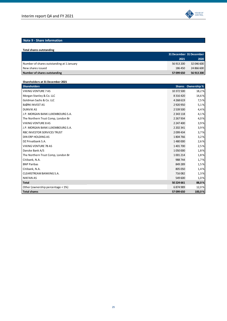# **Note 9 - Share information**

| Total shares outstanding                  |            |                         |
|-------------------------------------------|------------|-------------------------|
|                                           |            | 31 December 31 December |
|                                           | 2021       | 2020                    |
| Number of shares outstanding at 1 January | 56 913 200 | 32 046 600              |
| New shares issued                         | 186 450    | 24 866 600              |
| Number of shares outstanding              | 57 099 650 | 56 913 200              |

### **Shareholders at 31 December 2021**

| <b>Shareholders</b>                |               | Shares Ownership % |
|------------------------------------|---------------|--------------------|
| <b>VIKING VENTURE 7 AS</b>         | 10 372 500    | 18,2%              |
| Morgan Stanley & Co. LLC           | 8 3 1 6 4 2 0 | 14,6%              |
| Goldman Sachs & Co. LLC            | 4 2 6 8 6 1 9 | 7,5%               |
| <b>BJØRK INVEST AS</b>             | 2 9 2 0 9 5 0 | 5,1%               |
| <b>DUNVIK AS</b>                   | 2 539 500     | 4,4%               |
| J.P. MORGAN BANK LUXEMBOURG S.A.   | 2 3 4 3 1 1 8 | 4,1%               |
| The Northern Trust Comp, London Br | 2 2 6 7 9 3 4 | 4,0%               |
| <b>VIKING VENTURE 8 AS</b>         | 2 247 400     | 3,9%               |
| J.P. MORGAN BANK LUXEMBOURG S.A.   | 2 202 341     | 3,9%               |
| RBC INVESTOR SERVICES TRUST        | 2 099 434     | 3,7%               |
| DIN ERP HOLDING AS                 | 1804766       | 3,2%               |
| DZ Privatbank S.A.                 | 1480000       | 2,6%               |
| <b>VIKING VENTURE 7B AS</b>        | 1401700       | 2,5%               |
| Danske Bank A/S                    | 1050000       | 1,8%               |
| The Northern Trust Comp, London Br | 1001214       | 1,8%               |
| Citibank, N.A.                     | 988 744       | 1,7%               |
| <b>BNP Paribas</b>                 | 849 289       | 1,5%               |
| Citibank, N.A.                     | 805 050       | 1,4%               |
| CLEARSTREAM BANKING S.A.           | 716 082       | 1,3%               |
| <b>NIKFAN AS</b>                   | 549 600       | 1,0%               |
| <b>Total</b>                       | 50 224 661    | 88,0%              |
| Other (ownership percentage < 1%)  | 6874989       | 12,0%              |
| <b>Total shares</b>                | 57 099 650    | 100,0%             |

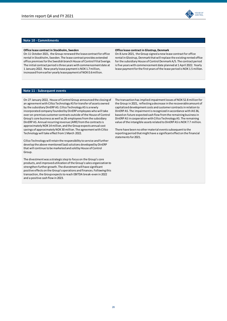

### **Office lease contract in Stockholm, Sweden**

On 11 October 2021, the Group renewed the lease contract for office rental in Stockholm, Sweden. The lease contract provides extended office premises for the Swedish branch House of Control Filial Sverige. The initial contract period is three years with commencement date at 1 January 2022. New yearly lease payment is NOK 1.7 million, increased from earlier yearly lease payment of NOK 0.6 million.

#### **Office lease contract in Glostrup, Denmark**

On 8 June 2021, the Group signed a new lease contract for office rental in Glostrup, Denmark that will replace the existing rented office for the subsidiary House of Control Denmark A/S. The contract period is five years with commencement date planned at 1 April 2022. Yearly lease payment for the first years of the lease period is NOK 1.5 million.

### **Note 11 - Subsequent events**

On 27 January 2022, House of Control Group announced the closing of an agreement with Cillco Technology AS for transfer of assets owned by the subsidiary DinERP AS. Cillco Technology AS is a newly incorporated company founded by DinERP employees who will take over on-premises customer contracts outside of the House of Control Group's core business as well as 26 employees from the subsidiary DinERP AS. Annual recurring revenue (ARR) from the contracts is approximately NOK 14 million, and the Group expects annual cost savings of approximately NOK 30 million. The agreement with Cillco Technology will take effect from 1 March 2022.

Cillco Technology will retain the responsibility to service and further develop the above-mentioned SaaS solutions developed by DinERP that will continue to be marketed and sold by House of Control Group.

The divestment was a strategic step to focus on the Group's core products, and improved utilization of the Group's sales organization to strengthen further growth. The divestment will have significant positive effects on the Group's operations and finances. Following this transaction, the Group expects to reach EBITDA break-even in 2022 and a positive cash flow in 2023.

The transaction has implied impairment losses of NOK 52.8 million for the Group in 2021, reflecting a decrease in the recoverable amount of capitalized development costs and customer contracts in relation to DinERP AS. The impairment is recognized in accordance with IAS 36, based on future expected cash flow from the remaining business in DinERP AS in cooperation with Cillco Technology AS. The remaining value of the intangible assets related to DinERP AS is NOK 7.7 million.

There have been no other material events subsequent to the reporting period that might have a significant effect on the financial statements for 2021.

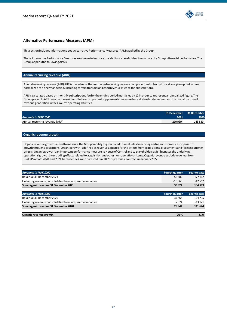

### **Alternative Performance Measures (APM)**

This section includes information about Alternative Performance Measures (APM) applied by the Group.

These Alternative Performance Measures are shown to improve the ability of stakeholders to evaluate the Group's financial performance. The Group applies the following APMs;

### **Annual recurring revenue (ARR)**

Annual recurring revenue (ARR) ARRis the value of the contracted recurring revenue components of subscriptions at any given point in time, normalized to a one year period, including certain transaction based revenuestied to the subscriptions.

ARR is calculated based on monthly subscriptions fee for the ending period multiplied by 12 in order to represent an annualized figure. The Group presents ARR because it considers it to be an important supplemental measure for stakeholders to understand the overall picture of revenue generation in the Group's operating activities.

|                                | 31 December 31 December |         |
|--------------------------------|-------------------------|---------|
| <b>Amounts in NOK 1000</b>     | 2021                    | 2020    |
| Annual recurring revenue (ARR) | 210939                  | 145 839 |

### **Organic revenue growth**

Organic revenue growth is used to measure the Group's ability to grow by additional sales to existing and new customers, as opposed to growth through acquisitions. Organic growth is defined as revenue adjusted for the effects from acquisitions, divestments and foreign currency effects. Organic growth is an important performance measure to House of Control and to stakeholders as it illustrates the underlying operational growth by excluding effects related to acquisition and other non-operational items. Organic revenue exclude revenues from DinERP in both 2020 and 2021 because the Group divested DinERP 'on-premises' contracts in January 2022.

| <b>Amounts in NOK 1000</b>                             | <b>Fourth quarter</b> | <b>Year to date</b> |
|--------------------------------------------------------|-----------------------|---------------------|
| Revenue 31 December 2021                               | 52 689                | 177 162             |
| Excluding revenue consolidated from acquired companies | $-16866$              | $-42562$            |
| Sum organic revenue 31 December 2021                   | 35 822                | 134 599             |

| <b>Amounts in NOK 1000</b>                             | <b>Fourth quarter</b> | <b>Year to date</b> |
|--------------------------------------------------------|-----------------------|---------------------|
| Revenue 31 December 2020                               | 37466                 | 124 795             |
| Excluding revenue consolidated from acquired companies | $-7524$               | $-13121$            |
| Sum organic revenue 31 December 2020                   | 29 942                | 111 674             |
|                                                        |                       |                     |
| Organic revenue growth                                 | 20%                   | 21%                 |